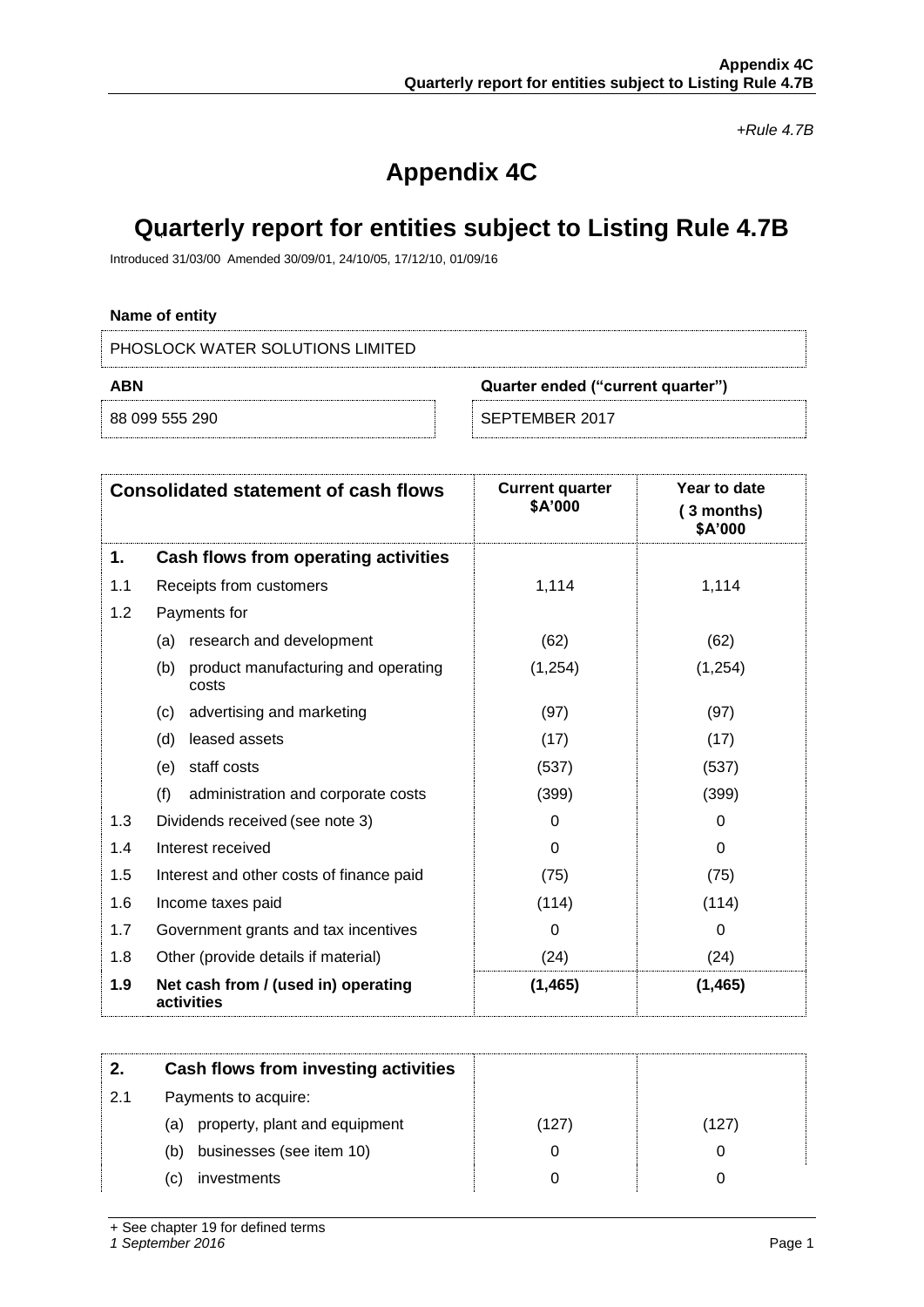*+Rule 4.7B*

# **Appendix 4C**

## **Quarterly report for entities subject to Listing Rule 4.7B**

Introduced 31/03/00 Amended 30/09/01, 24/10/05, 17/12/10, 01/09/16

## **Name of entity**

PHOSLOCK WATER SOLUTIONS LIMITED

| <b>ABN</b>     |  | Quarter ended ("current quarter") |
|----------------|--|-----------------------------------|
| 88 099 555 290 |  | SEPTEMBER 2017                    |

| <b>Consolidated statement of cash flows</b> |                                                     | <b>Current quarter</b><br>\$A'000 | Year to date<br>(3 months)<br>\$A'000 |
|---------------------------------------------|-----------------------------------------------------|-----------------------------------|---------------------------------------|
| 1.                                          | Cash flows from operating activities                |                                   |                                       |
| 1.1                                         | Receipts from customers                             | 1,114                             | 1,114                                 |
| 1.2                                         | Payments for                                        |                                   |                                       |
|                                             | research and development<br>(a)                     | (62)                              | (62)                                  |
|                                             | product manufacturing and operating<br>(b)<br>costs | (1, 254)                          | (1,254)                               |
|                                             | advertising and marketing<br>(c)                    | (97)                              | (97)                                  |
|                                             | (d)<br>leased assets                                | (17)                              | (17)                                  |
|                                             | staff costs<br>(e)                                  | (537)                             | (537)                                 |
|                                             | (f)<br>administration and corporate costs           | (399)                             | (399)                                 |
| 1.3                                         | Dividends received (see note 3)                     | 0                                 | 0                                     |
| 1.4                                         | Interest received                                   | $\Omega$                          | 0                                     |
| 1.5                                         | Interest and other costs of finance paid            | (75)                              | (75)                                  |
| 1.6                                         | Income taxes paid                                   | (114)                             | (114)                                 |
| 1.7                                         | Government grants and tax incentives                | $\Omega$                          | $\Omega$                              |
| 1.8                                         | Other (provide details if material)                 | (24)                              | (24)                                  |
| 1.9                                         | Net cash from / (used in) operating<br>activities   | (1, 465)                          | (1, 465)                              |

| 2.  | Cash flows from investing activities |       |       |
|-----|--------------------------------------|-------|-------|
| 2.1 | Payments to acquire:                 |       |       |
|     | (a) property, plant and equipment    | (127) | (127) |
|     | businesses (see item 10)<br>(b)      | 0     |       |
|     | investments<br>(C)                   | 0     |       |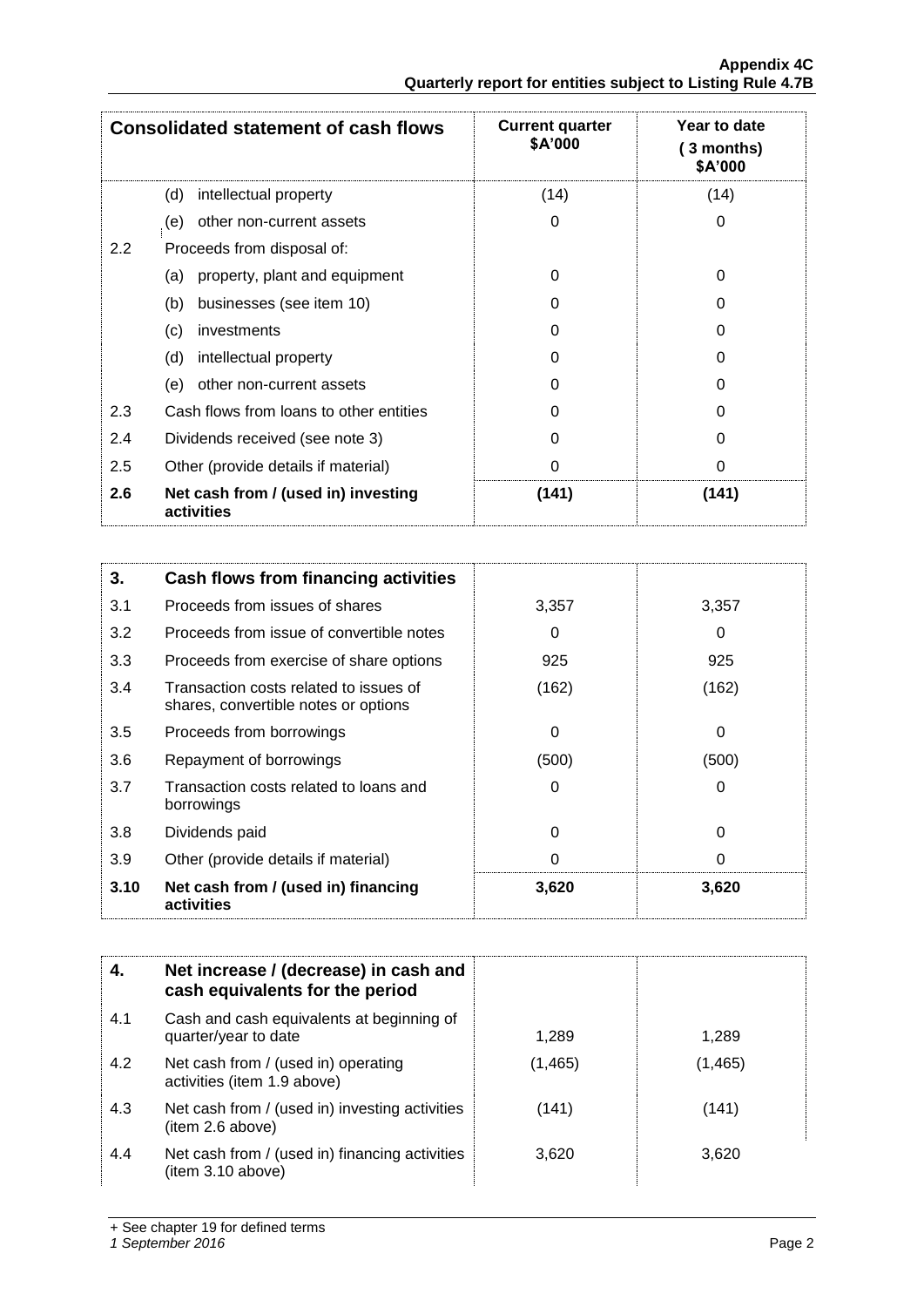|     | <b>Consolidated statement of cash flows</b>       | <b>Current quarter</b><br>\$A'000 | Year to date<br>3 months)<br>\$A'000 |
|-----|---------------------------------------------------|-----------------------------------|--------------------------------------|
|     | intellectual property<br>(d)                      | (14)                              | (14)                                 |
|     | other non-current assets<br>(e)                   | 0                                 | 0                                    |
| 2.2 | Proceeds from disposal of:                        |                                   |                                      |
|     | property, plant and equipment<br>(a)              | 0                                 | 0                                    |
|     | businesses (see item 10)<br>(b)                   | 0                                 | O                                    |
|     | (c)<br>investments                                | 0                                 | 0                                    |
|     | (d)<br>intellectual property                      | 0                                 | O                                    |
|     | other non-current assets<br>(e)                   | 0                                 | 0                                    |
| 2.3 | Cash flows from loans to other entities           | 0                                 | O                                    |
| 2.4 | Dividends received (see note 3)                   | 0                                 | 0                                    |
| 2.5 | Other (provide details if material)               | 0                                 | 0                                    |
| 2.6 | Net cash from / (used in) investing<br>activities | (141)                             | (141)                                |

| 3.   | Cash flows from financing activities                                           |       |          |
|------|--------------------------------------------------------------------------------|-------|----------|
| 3.1  | Proceeds from issues of shares                                                 | 3,357 | 3,357    |
| 3.2  | Proceeds from issue of convertible notes                                       | 0     | 0        |
| 3.3  | Proceeds from exercise of share options                                        | 925   | 925      |
| 3.4  | Transaction costs related to issues of<br>shares, convertible notes or options | (162) | (162)    |
| 3.5  | Proceeds from borrowings                                                       | 0     | 0        |
| 3.6  | Repayment of borrowings                                                        | (500) | (500)    |
| 3.7  | Transaction costs related to loans and<br>borrowings                           | 0     | 0        |
| 3.8  | Dividends paid                                                                 | 0     | $\Omega$ |
| 3.9  | Other (provide details if material)                                            | 0     | 0        |
| 3.10 | Net cash from / (used in) financing<br>activities                              | 3,620 | 3,620    |

|     | Net increase / (decrease) in cash and<br>cash equivalents for the period |          |          |
|-----|--------------------------------------------------------------------------|----------|----------|
| 4.1 | Cash and cash equivalents at beginning of<br>quarter/year to date        | 1,289    | 1,289    |
| 4.2 | Net cash from / (used in) operating<br>activities (item 1.9 above)       | (1, 465) | (1, 465) |
| 4.3 | Net cash from / (used in) investing activities<br>(item 2.6 above)       | (141)    | (141)    |
| 4.4 | Net cash from / (used in) financing activities<br>(item 3.10 above)      | 3,620    | 3,620    |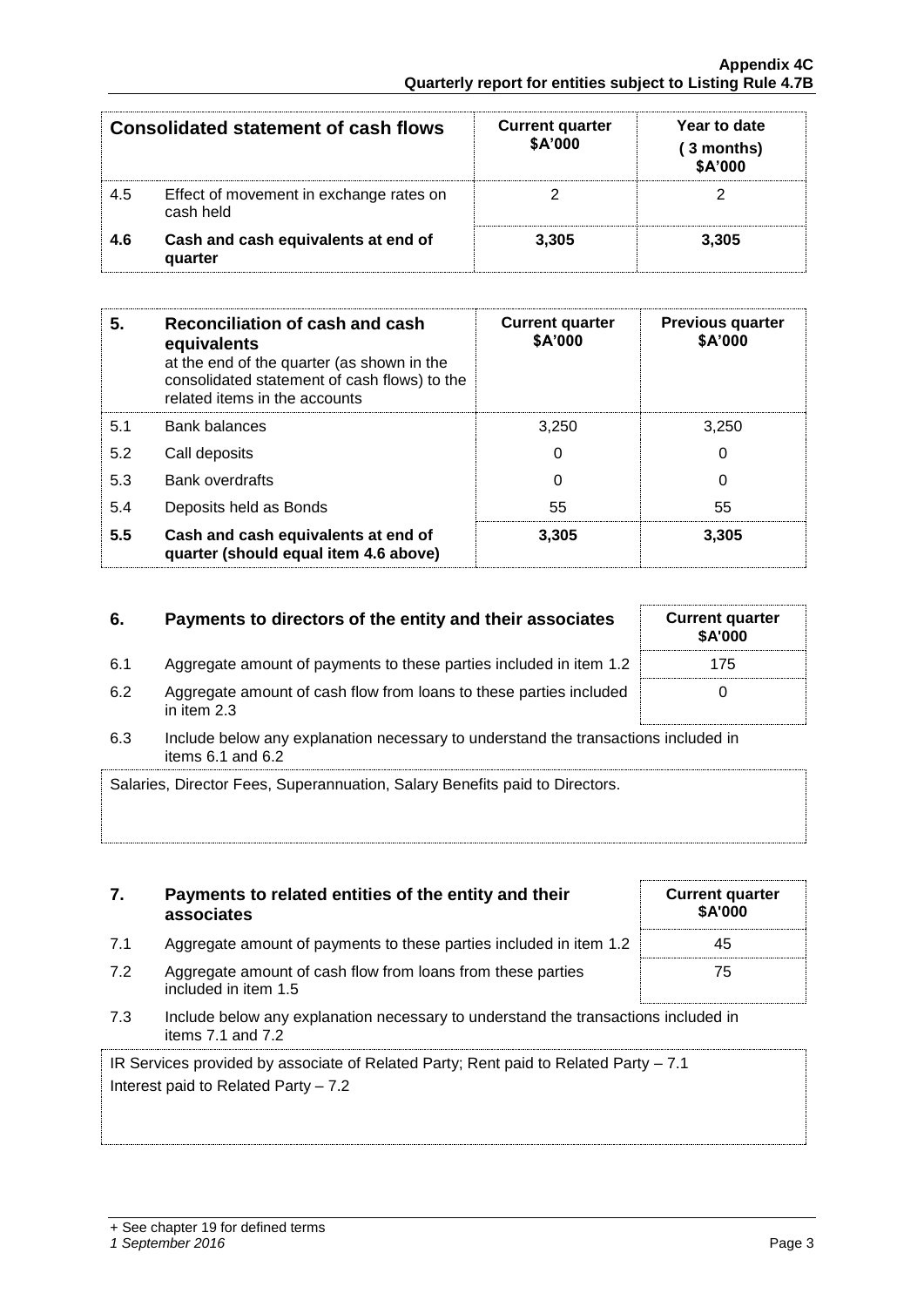| <b>Consolidated statement of cash flows</b> |                                                      | <b>Current quarter</b><br>\$A'000 | Year to date<br>(3 months)<br>\$A'000 |  |
|---------------------------------------------|------------------------------------------------------|-----------------------------------|---------------------------------------|--|
| 4.5                                         | Effect of movement in exchange rates on<br>cash held |                                   |                                       |  |
| 4.6                                         | Cash and cash equivalents at end of<br>quarter       | 3.305                             | 3.305                                 |  |

| 5.  | Reconciliation of cash and cash<br>equivalents<br>at the end of the quarter (as shown in the<br>consolidated statement of cash flows) to the<br>related items in the accounts | <b>Current quarter</b><br>\$A'000 | <b>Previous quarter</b><br>\$A'000 |
|-----|-------------------------------------------------------------------------------------------------------------------------------------------------------------------------------|-----------------------------------|------------------------------------|
| 5.1 | <b>Bank balances</b>                                                                                                                                                          | 3.250                             | 3.250                              |
| 5.2 | Call deposits                                                                                                                                                                 | 0                                 | 0                                  |
| 5.3 | <b>Bank overdrafts</b>                                                                                                                                                        | 0                                 | 0                                  |
| 5.4 | Deposits held as Bonds                                                                                                                                                        | 55                                | 55                                 |
| 5.5 | Cash and cash equivalents at end of<br>quarter (should equal item 4.6 above)                                                                                                  | 3,305                             | 3,305                              |

## **6.** Payments to directors of the entity and their associates Current quarter

- 6.1 Aggregate amount of payments to these parties included in item 1.2 175
- 6.2 Aggregate amount of cash flow from loans to these parties included in item 2.3
- 6.3 Include below any explanation necessary to understand the transactions included in items  $6.1$  and  $6.2$

| Salaries, Director Fees, Superannuation, Salary Benefits paid to Directors. |
|-----------------------------------------------------------------------------|
|                                                                             |
|                                                                             |

|     | associates                                                                          | <b>SA'0</b> |
|-----|-------------------------------------------------------------------------------------|-------------|
| 7.1 | Aggregate amount of payments to these parties included in item 1.2                  | 45          |
| 7.2 | Aggregate amount of cash flow from loans from these parties<br>included in item 1.5 | 75          |

**7. Payments to related entities of the entity and their** 

7.3 Include below any explanation necessary to understand the transactions included in items 7.1 and 7.2

IR Services provided by associate of Related Party; Rent paid to Related Party – 7.1 Interest paid to Related Party – 7.2

| <b>Current quarter</b><br>\$A'000 |  |
|-----------------------------------|--|
| 45                                |  |
| 75                                |  |

**\$A'000**

0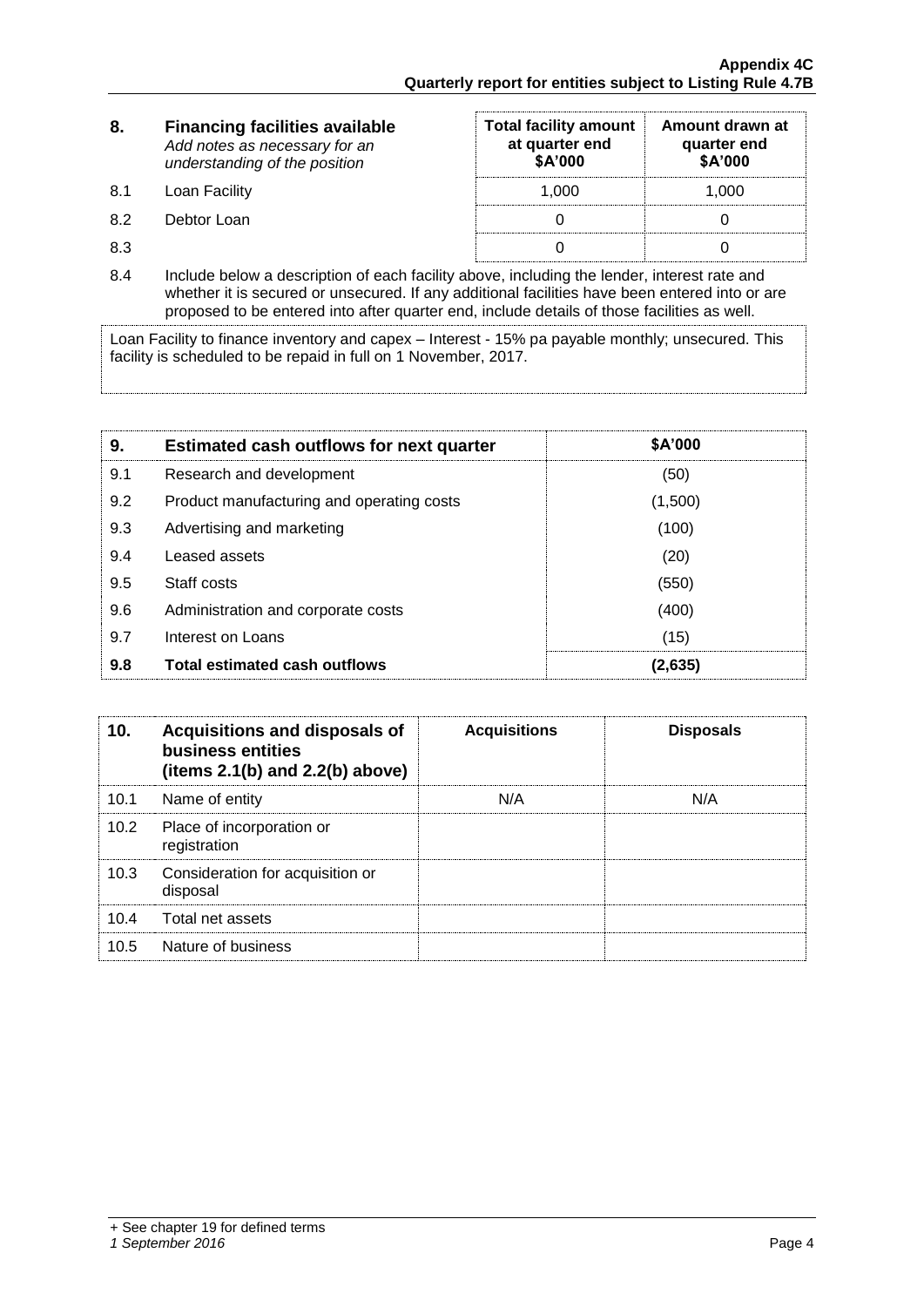| 8.  | <b>Financing facilities available</b><br>Add notes as necessary for an<br>understanding of the position | <b>Total facility amount</b><br>at quarter end<br>\$A'000 | Amount drawn at<br>quarter end<br>\$A'000 |
|-----|---------------------------------------------------------------------------------------------------------|-----------------------------------------------------------|-------------------------------------------|
| 8.1 | Loan Facility                                                                                           | 1.000                                                     | 1.000                                     |
| 8.2 | Debtor Loan                                                                                             |                                                           |                                           |
| 8.3 |                                                                                                         |                                                           |                                           |

8.4 Include below a description of each facility above, including the lender, interest rate and whether it is secured or unsecured. If any additional facilities have been entered into or are proposed to be entered into after quarter end, include details of those facilities as well.

Loan Facility to finance inventory and capex – Interest - 15% pa payable monthly; unsecured. This facility is scheduled to be repaid in full on 1 November, 2017.

| 9.  | <b>Estimated cash outflows for next quarter</b> | \$A'000 |
|-----|-------------------------------------------------|---------|
| 9.1 | Research and development                        | (50)    |
| 9.2 | Product manufacturing and operating costs       | (1,500) |
| 9.3 | Advertising and marketing                       | (100)   |
| 9.4 | Leased assets                                   | (20)    |
| 9.5 | Staff costs                                     | (550)   |
| 9.6 | Administration and corporate costs              | (400)   |
| 9.7 | Interest on Loans                               | (15)    |
| 9.8 | <b>Total estimated cash outflows</b>            | (2,635) |

| 10 <sub>1</sub> | <b>Acquisitions and disposals of</b><br>business entities<br>(items $2.1(b)$ and $2.2(b)$ above) | <b>Acquisitions</b> | <b>Disposals</b> |
|-----------------|--------------------------------------------------------------------------------------------------|---------------------|------------------|
| 10.1            | Name of entity                                                                                   | N/A                 | N/A              |
| 10.2            | Place of incorporation or<br>registration                                                        |                     |                  |
| 10.3            | Consideration for acquisition or<br>disposal                                                     |                     |                  |
| 10.4            | Total net assets                                                                                 |                     |                  |
| 10.5            | Nature of business                                                                               |                     |                  |